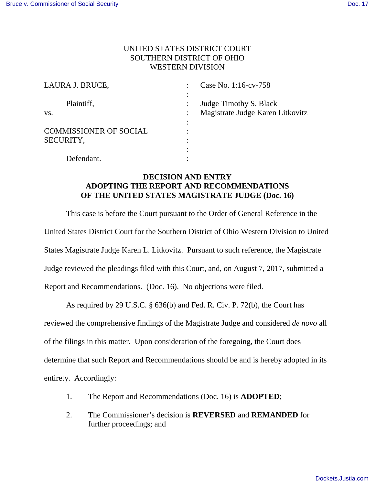## UNITED STATES DISTRICT COURT SOUTHERN DISTRICT OF OHIO WESTERN DIVISION

| LAURA J. BRUCE,               | Case No. 1:16-cv-758             |
|-------------------------------|----------------------------------|
|                               |                                  |
| Plaintiff,                    | Judge Timothy S. Black           |
| VS.                           | Magistrate Judge Karen Litkovitz |
|                               |                                  |
| <b>COMMISSIONER OF SOCIAL</b> |                                  |
| SECURITY,                     |                                  |
|                               |                                  |
| Defendant.                    |                                  |

## **DECISION AND ENTRY ADOPTING THE REPORT AND RECOMMENDATIONS OF THE UNITED STATES MAGISTRATE JUDGE (Doc. 16)**

This case is before the Court pursuant to the Order of General Reference in the United States District Court for the Southern District of Ohio Western Division to United States Magistrate Judge Karen L. Litkovitz. Pursuant to such reference, the Magistrate Judge reviewed the pleadings filed with this Court, and, on August 7, 2017, submitted a Report and Recommendations. (Doc. 16). No objections were filed.

As required by 29 U.S.C. § 636(b) and Fed. R. Civ. P. 72(b), the Court has

reviewed the comprehensive findings of the Magistrate Judge and considered *de novo* all

of the filings in this matter. Upon consideration of the foregoing, the Court does

determine that such Report and Recommendations should be and is hereby adopted in its

entirety. Accordingly:

- 1. The Report and Recommendations (Doc. 16) is **ADOPTED**;
- 2. The Commissioner's decision is **REVERSED** and **REMANDED** for further proceedings; and